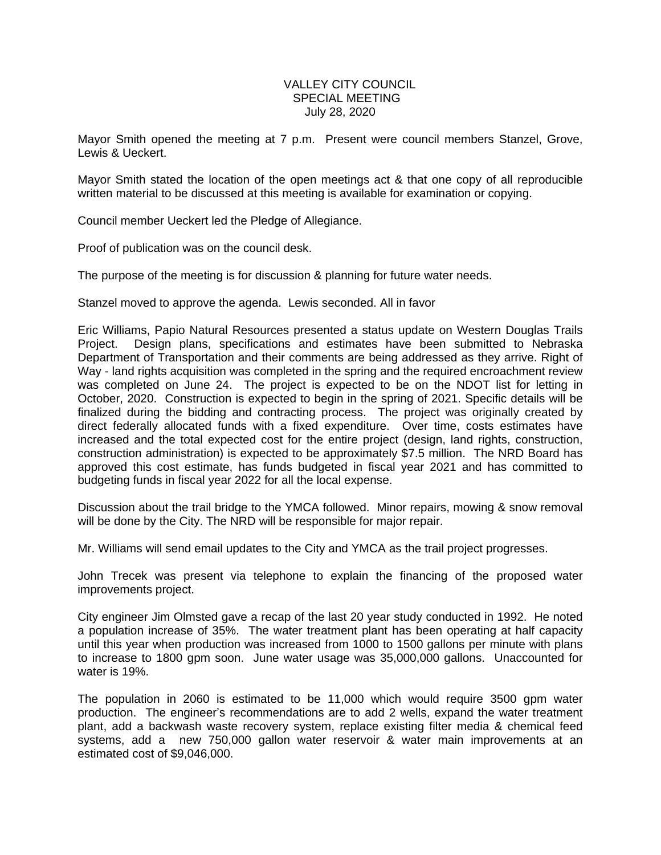## VALLEY CITY COUNCIL SPECIAL MEETING July 28, 2020

Mayor Smith opened the meeting at 7 p.m. Present were council members Stanzel, Grove, Lewis & Ueckert.

Mayor Smith stated the location of the open meetings act & that one copy of all reproducible written material to be discussed at this meeting is available for examination or copying.

Council member Ueckert led the Pledge of Allegiance.

Proof of publication was on the council desk.

The purpose of the meeting is for discussion & planning for future water needs.

Stanzel moved to approve the agenda. Lewis seconded. All in favor

Eric Williams, Papio Natural Resources presented a status update on Western Douglas Trails Project. Design plans, specifications and estimates have been submitted to Nebraska Department of Transportation and their comments are being addressed as they arrive. Right of Way - land rights acquisition was completed in the spring and the required encroachment review was completed on June 24. The project is expected to be on the NDOT list for letting in October, 2020. Construction is expected to begin in the spring of 2021. Specific details will be finalized during the bidding and contracting process. The project was originally created by direct federally allocated funds with a fixed expenditure. Over time, costs estimates have increased and the total expected cost for the entire project (design, land rights, construction, construction administration) is expected to be approximately \$7.5 million. The NRD Board has approved this cost estimate, has funds budgeted in fiscal year 2021 and has committed to budgeting funds in fiscal year 2022 for all the local expense.

Discussion about the trail bridge to the YMCA followed. Minor repairs, mowing & snow removal will be done by the City. The NRD will be responsible for major repair.

Mr. Williams will send email updates to the City and YMCA as the trail project progresses.

John Trecek was present via telephone to explain the financing of the proposed water improvements project.

City engineer Jim Olmsted gave a recap of the last 20 year study conducted in 1992. He noted a population increase of 35%. The water treatment plant has been operating at half capacity until this year when production was increased from 1000 to 1500 gallons per minute with plans to increase to 1800 gpm soon. June water usage was 35,000,000 gallons. Unaccounted for water is 19%.

The population in 2060 is estimated to be 11,000 which would require 3500 gpm water production. The engineer's recommendations are to add 2 wells, expand the water treatment plant, add a backwash waste recovery system, replace existing filter media & chemical feed systems, add a new 750,000 gallon water reservoir & water main improvements at an estimated cost of \$9,046,000.